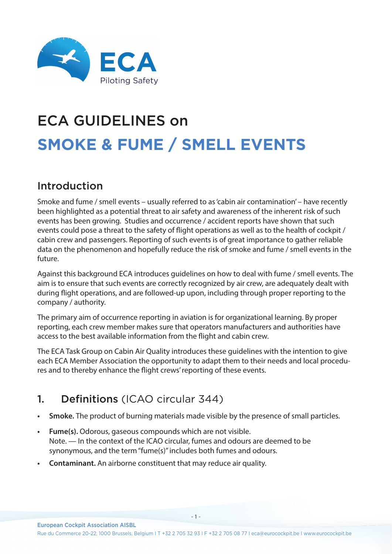

# ECA GUIDELINES on **SMOKE & FUME / SMELL EVENTS**

### Introduction

Smoke and fume / smell events – usually referred to as 'cabin air contamination' – have recently been highlighted as a potential threat to air safety and awareness of the inherent risk of such events has been growing. Studies and occurrence / accident reports have shown that such events could pose a threat to the safety of flight operations as well as to the health of cockpit / cabin crew and passengers. Reporting of such events is of great importance to gather reliable data on the phenomenon and hopefully reduce the risk of smoke and fume / smell events in the future.

Against this background ECA introduces guidelines on how to deal with fume / smell events. The aim is to ensure that such events are correctly recognized by air crew, are adequately dealt with during flight operations, and are followed-up upon, including through proper reporting to the company / authority.

The primary aim of occurrence reporting in aviation is for organizational learning. By proper reporting, each crew member makes sure that operators manufacturers and authorities have access to the best available information from the flight and cabin crew.

The ECA Task Group on Cabin Air Quality introduces these guidelines with the intention to give each ECA Member Association the opportunity to adapt them to their needs and local procedures and to thereby enhance the flight crews' reporting of these events.

### 1. Definitions (ICAO circular 344)

- **• Smoke.** The product of burning materials made visible by the presence of small particles.
- **• Fume(s).** Odorous, gaseous compounds which are not visible. Note. — In the context of the ICAO circular, fumes and odours are deemed to be synonymous, and the term "fume(s)" includes both fumes and odours.
- **• Contaminant.** An airborne constituent that may reduce air quality.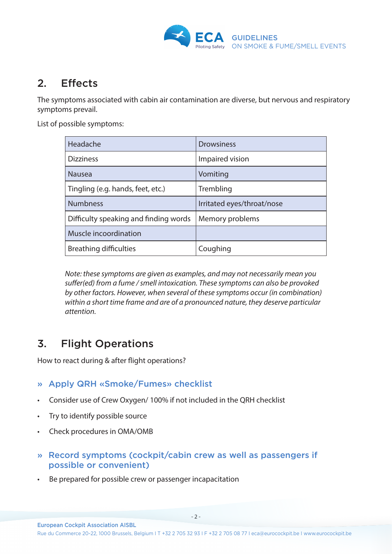

### 2. Effects

The symptoms associated with cabin air contamination are diverse, but nervous and respiratory symptoms prevail.

List of possible symptoms:

| Headache                              | <b>Drowsiness</b>          |
|---------------------------------------|----------------------------|
| <b>Dizziness</b>                      | Impaired vision            |
| <b>Nausea</b>                         | Vomiting                   |
| Tingling (e.g. hands, feet, etc.)     | Trembling                  |
| <b>Numbness</b>                       | Irritated eyes/throat/nose |
| Difficulty speaking and finding words | Memory problems            |
| Muscle incoordination                 |                            |
| <b>Breathing difficulties</b>         | Coughing                   |

*Note: these symptoms are given as examples, and may not necessarily mean you suffer(ed) from a fume / smell intoxication. These symptoms can also be provoked by other factors. However, when several of these symptoms occur (in combination) within a short time frame and are of a pronounced nature, they deserve particular attention.*

## 3. Flight Operations

How to react during & after flight operations?

### » Apply QRH «Smoke/Fumes» checklist

- Consider use of Crew Oxygen/ 100% if not included in the QRH checklist
- Try to identify possible source
- Check procedures in OMA/OMB
- » Record symptoms (cockpit/cabin crew as well as passengers if possible or convenient)
- Be prepared for possible crew or passenger incapacitation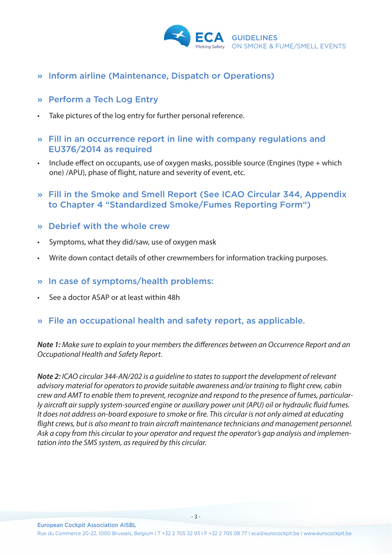

- » Inform airline (Maintenance, Dispatch or Operations)
- » Perform a Tech Log Entry
- Take pictures of the log entry for further personal reference.
- » Fill in an occurrence report in line with company regulations and EU376/2014 as required
- Include effect on occupants, use of oxygen masks, possible source (Engines (type + which one) /APU), phase of flight, nature and severity of event, etc.
- » Fill in the Smoke and Smell Report (See ICAO Circular 344, Appendix to Chapter 4 "Standardized Smoke/Fumes Reporting Form")
- » Debrief with the whole crew
- Symptoms, what they did/saw, use of oxygen mask
- Write down contact details of other crewmembers for information tracking purposes.
- » In case of symptoms/health problems:
- See a doctor ASAP or at least within 48h
- » File an occupational health and safety report, as applicable.

*Note 1: Make sure to explain to your members the differences between an Occurrence Report and an Occupational Health and Safety Report.*

*Note 2: ICAO circular 344-AN/202 is a guideline to states to support the development of relevant advisory material for operators to provide suitable awareness and/or training to flight crew, cabin crew and AMT to enable them to prevent, recognize and respond to the presence of fumes, particularly aircraft air supply system-sourced engine or auxiliary power unit (APU) oil or hydraulic fluid fumes. It does not address on-board exposure to smoke or fire. This circular is not only aimed at educating flight crews, but is also meant to train aircraft maintenance technicians and management personnel. Ask a copy from this circular to your operator and request the operator's gap analysis and implementation into the SMS system, as required by this circular.*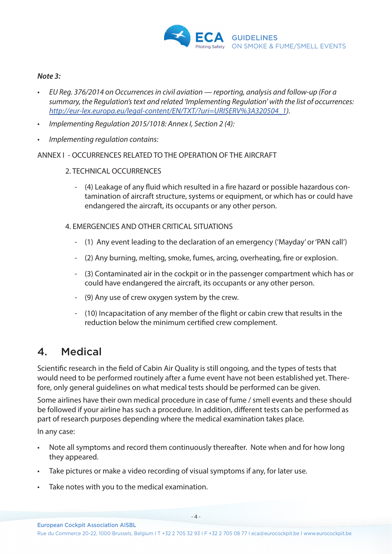

#### *Note 3:*

- *• EU Reg. 376/2014 on Occurrences in civil aviation reporting, analysis and follow-up (For a summary, the Regulation's text and related 'Implementing Regulation' with the list of occurrences: [http://eur-lex.europa.eu/legal-content/EN/TXT/?uri=URISERV%3A320504\\_1](http://eur-lex.europa.eu/legal-content/EN/TXT/?uri=URISERV%3A320504_1)).*
- *• Implementing Regulation 2015/1018: Annex I, Section 2 (4):*
- *• Implementing regulation contains:*

#### ANNEX I - OCCURRENCES RELATED TO THE OPERATION OF THE AIRCRAFT

#### 2. TECHNICAL OCCURRENCES

- (4) Leakage of any fluid which resulted in a fire hazard or possible hazardous contamination of aircraft structure, systems or equipment, or which has or could have endangered the aircraft, its occupants or any other person.
- 4. EMERGENCIES AND OTHER CRITICAL SITUATIONS
	- (1) Any event leading to the declaration of an emergency ('Mayday' or 'PAN call')
	- (2) Any burning, melting, smoke, fumes, arcing, overheating, fire or explosion.
	- (3) Contaminated air in the cockpit or in the passenger compartment which has or could have endangered the aircraft, its occupants or any other person.
	- (9) Any use of crew oxygen system by the crew.
	- (10) Incapacitation of any member of the flight or cabin crew that results in the reduction below the minimum certified crew complement.

### 4. Medical

Scientific research in the field of Cabin Air Quality is still ongoing, and the types of tests that would need to be performed routinely after a fume event have not been established yet. Therefore, only general guidelines on what medical tests should be performed can be given.

Some airlines have their own medical procedure in case of fume / smell events and these should be followed if your airline has such a procedure. In addition, different tests can be performed as part of research purposes depending where the medical examination takes place.

In any case:

- Note all symptoms and record them continuously thereafter. Note when and for how long they appeared.
- Take pictures or make a video recording of visual symptoms if any, for later use.
- Take notes with you to the medical examination.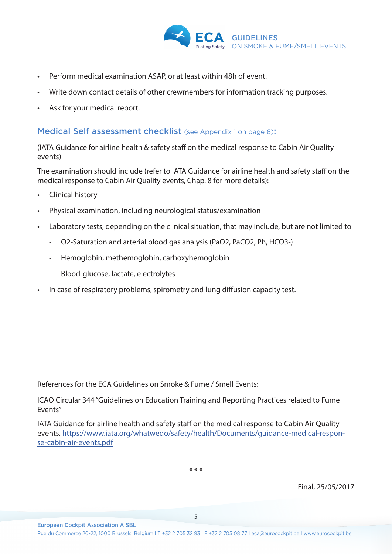

- Perform medical examination ASAP, or at least within 48h of event.
- Write down contact details of other crewmembers for information tracking purposes.
- Ask for your medical report.

#### Medical Self assessment checklist (see Appendix 1 on page 6):

(IATA Guidance for airline health & safety staff on the medical response to Cabin Air Quality events)

The examination should include (refer to IATA Guidance for airline health and safety staff on the medical response to Cabin Air Quality events, Chap. 8 for more details):

- Clinical history
- Physical examination, including neurological status/examination
- Laboratory tests, depending on the clinical situation, that may include, but are not limited to
	- O2-Saturation and arterial blood gas analysis (PaO2, PaCO2, Ph, HCO3-)
	- Hemoglobin, methemoglobin, carboxyhemoglobin
	- Blood-glucose, lactate, electrolytes

European Cockpit Association AISBL

• In case of respiratory problems, spirometry and lung diffusion capacity test.

References for the ECA Guidelines on Smoke & Fume / Smell Events:

ICAO Circular 344 "Guidelines on Education Training and Reporting Practices related to Fume Events"

IATA Guidance for airline health and safety staff on the medical response to Cabin Air Quality events. [https://www.iata.org/whatwedo/safety/health/Documents/guidance-medical-respon](https://www.iata.org/whatwedo/safety/health/Documents/guidance-medical-response-cabin-air-events.pdf)[se-cabin-air-events.pdf](https://www.iata.org/whatwedo/safety/health/Documents/guidance-medical-response-cabin-air-events.pdf)

\* \* \*

Final, 25/05/2017